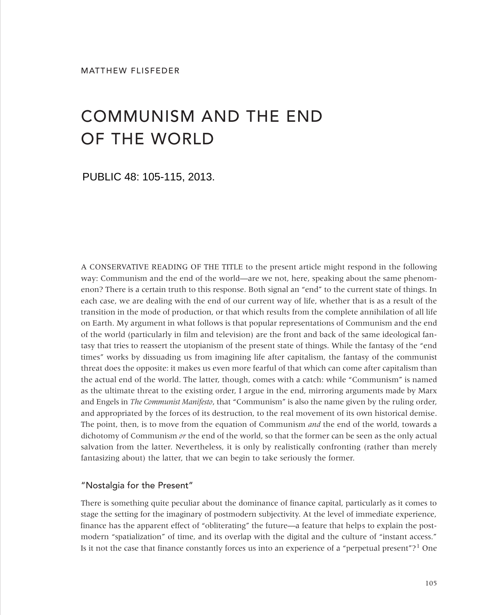# COMMUNISM AND THE END OF THE WORLD

PUBLIC 48: 105-115, 2013.

A CONSERVATIVE READING OF THE TITLE to the present article might respond in the following way: Communism and the end of the world—are we not, here, speaking about the same phenomenon? There is a certain truth to this response. Both signal an "end" to the current state of things. In each case, we are dealing with the end of our current way of life, whether that is as a result of the transition in the mode of production, or that which results from the complete annihilation of all life on Earth. My argument in what follows is that popular representations of Communism and the end of the world (particularly in film and television) are the front and back of the same ideological fantasy that tries to reassert the utopianism of the present state of things. While the fantasy of the "end times" works by dissuading us from imagining life after capitalism, the fantasy of the communist threat does the opposite: it makes us even more fearful of that which can come after capitalism than the actual end of the world. The latter, though, comes with a catch: while "Communism" is named as the ultimate threat to the existing order, I argue in the end, mirroring arguments made by Marx and Engels in *The Communist Manifesto*, that "Communism" is also the name given by the ruling order, and appropriated by the forces of its destruction, to the real movement of its own historical demise. The point, then, is to move from the equation of Communism *and* the end of the world, towards a dichotomy of Communism *or* the end of the world, so that the former can be seen as the only actual salvation from the latter. Nevertheless, it is only by realistically confronting (rather than merely fantasizing about) the latter, that we can begin to take seriously the former.

### "Nostalgia for the Present"

There is something quite peculiar about the dominance of finance capital, particularly as it comes to stage the setting for the imaginary of postmodern subjectivity. At the level of immediate experience, finance has the apparent effect of "obliterating" the future—a feature that helps to explain the postmodern "spatialization" of time, and its overlap with the digital and the culture of "instant access." Is it not the case that finance constantly forces us into an experience of a "perpetual present"?1 One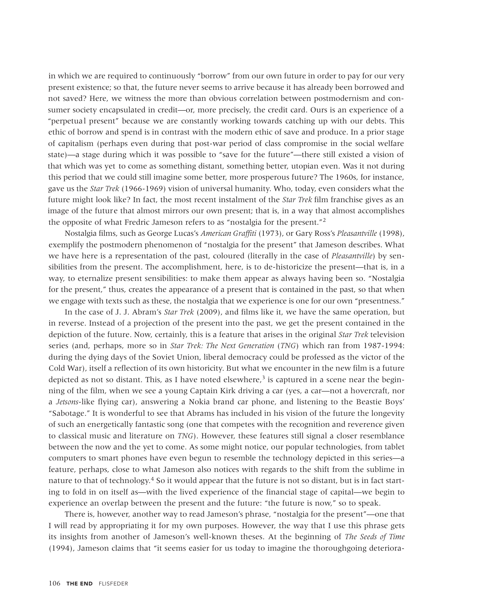in which we are required to continuously "borrow" from our own future in order to pay for our very present existence; so that, the future never seems to arrive because it has already been borrowed and not saved? Here, we witness the more than obvious correlation between postmodernism and consumer society encapsulated in credit—or, more precisely, the credit card. Ours is an experience of a "perpetual present" because we are constantly working towards catching up with our debts. This ethic of borrow and spend is in contrast with the modern ethic of save and produce. In a prior stage of capitalism (perhaps even during that post-war period of class compromise in the social welfare state)—a stage during which it was possible to "save for the future"—there still existed a vision of that which was yet to come as something distant, something better, utopian even. Was it not during this period that we could still imagine some better, more prosperous future? The 1960s, for instance, gave us the *Star Trek* (1966-1969) vision of universal humanity. Who, today, even considers what the future might look like? In fact, the most recent instalment of the *Star Trek* film franchise gives as an image of the future that almost mirrors our own present; that is, in a way that almost accomplishes the opposite of what Fredric Jameson refers to as "nostalgia for the present."2

Nostalgia films, such as George Lucas's *American Graffiti* (1973), or Gary Ross's *Pleasantville* (1998), exemplify the postmodern phenomenon of "nostalgia for the present" that Jameson describes. What we have here is a representation of the past, coloured (literally in the case of *Pleasantville*) by sensibilities from the present. The accomplishment, here, is to de-historicize the present—that is, in a way, to eternalize present sensibilities: to make them appear as always having been so. "Nostalgia for the present," thus, creates the appearance of a present that is contained in the past, so that when we engage with texts such as these, the nostalgia that we experience is one for our own "presentness."

In the case of J. J. Abram's *Star Trek* (2009), and films like it, we have the same operation, but in reverse. Instead of a projection of the present into the past, we get the present contained in the depiction of the future. Now, certainly, this is a feature that arises in the original *Star Trek* television series (and, perhaps, more so in *Star Trek: The Next Generation* (*TNG*) which ran from 1987-1994: during the dying days of the Soviet Union, liberal democracy could be professed as the victor of the Cold War), itself a reflection of its own historicity. But what we encounter in the new film is a future depicted as not so distant. This, as I have noted elsewhere,<sup>3</sup> is captured in a scene near the beginning of the film, when we see a young Captain Kirk driving a car (yes, a car—not a hovercraft, nor a *Jetsons*-like flying car), answering a Nokia brand car phone, and listening to the Beastie Boys' "Sabotage." It is wonderful to see that Abrams has included in his vision of the future the longevity of such an energetically fantastic song (one that competes with the recognition and reverence given to classical music and literature on *TNG*). However, these features still signal a closer resemblance between the now and the yet to come. As some might notice, our popular technologies, from tablet computers to smart phones have even begun to resemble the technology depicted in this series—a feature, perhaps, close to what Jameson also notices with regards to the shift from the sublime in nature to that of technology.<sup>4</sup> So it would appear that the future is not so distant, but is in fact starting to fold in on itself as—with the lived experience of the financial stage of capital—we begin to experience an overlap between the present and the future: "the future is now," so to speak.

There is, however, another way to read Jameson's phrase, "nostalgia for the present"—one that I will read by appropriating it for my own purposes. However, the way that I use this phrase gets its insights from another of Jameson's well-known theses. At the beginning of *The Seeds of Time* (1994), Jameson claims that "it seems easier for us today to imagine the thoroughgoing deteriora-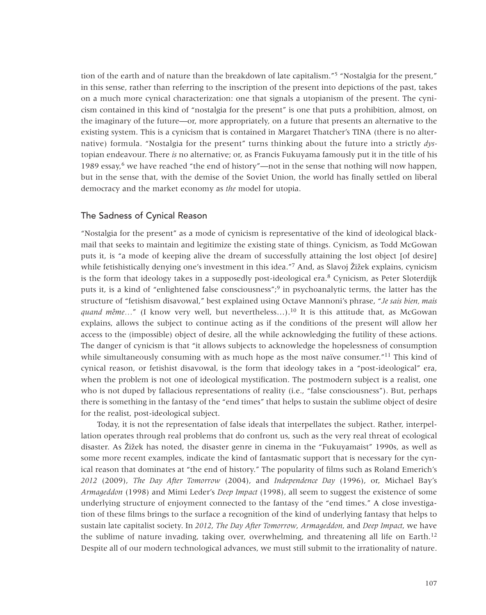tion of the earth and of nature than the breakdown of late capitalism."<sup>5</sup> "Nostalgia for the present," in this sense, rather than referring to the inscription of the present into depictions of the past, takes on a much more cynical characterization: one that signals a utopianism of the present. The cynicism contained in this kind of "nostalgia for the present" is one that puts a prohibition, almost, on the imaginary of the future—or, more appropriately, on a future that presents an alternative to the existing system. This is a cynicism that is contained in Margaret Thatcher's TINA (there is no alternative) formula. "Nostalgia for the present" turns thinking about the future into a strictly *dys*topian endeavour. There *is* no alternative; or, as Francis Fukuyama famously put it in the title of his 1989 essay,<sup>6</sup> we have reached "the end of history"—not in the sense that nothing will now happen, but in the sense that, with the demise of the Soviet Union, the world has finally settled on liberal democracy and the market economy as *the* model for utopia.

## The Sadness of Cynical Reason

"Nostalgia for the present" as a mode of cynicism is representative of the kind of ideological blackmail that seeks to maintain and legitimize the existing state of things. Cynicism, as Todd McGowan puts it, is "a mode of keeping alive the dream of successfully attaining the lost object [of desire] while fetishistically denying one's investment in this idea."7 And, as Slavoj Žižek explains, cynicism is the form that ideology takes in a supposedly post-ideological era.<sup>8</sup> Cynicism, as Peter Sloterdijk puts it, is a kind of "enlightened false consciousness";<sup>9</sup> in psychoanalytic terms, the latter has the structure of "fetishism disavowal," best explained using Octave Mannoni's phrase, "*Je sais bien, mais quand même...*" (I know very well, but nevertheless...).<sup>10</sup> It is this attitude that, as McGowan explains, allows the subject to continue acting as if the conditions of the present will allow her access to the (impossible) object of desire, all the while acknowledging the futility of these actions. The danger of cynicism is that "it allows subjects to acknowledge the hopelessness of consumption while simultaneously consuming with as much hope as the most naïve consumer."<sup>11</sup> This kind of cynical reason, or fetishist disavowal, is the form that ideology takes in a "post-ideological" era, when the problem is not one of ideological mystification. The postmodern subject is a realist, one who is not duped by fallacious representations of reality (i.e., "false consciousness"). But, perhaps there is something in the fantasy of the "end times" that helps to sustain the sublime object of desire for the realist, post-ideological subject.

Today, it is not the representation of false ideals that interpellates the subject. Rather, interpellation operates through real problems that do confront us, such as the very real threat of ecological disaster. As Žižek has noted, the disaster genre in cinema in the "Fukuyamaist" 1990s, as well as some more recent examples, indicate the kind of fantasmatic support that is necessary for the cynical reason that dominates at "the end of history." The popularity of films such as Roland Emerich's *2012* (2009), *The Day After Tomorrow* (2004), and *Independence Day* (1996), or, Michael Bay's *Armageddon* (1998) and Mimi Leder's *Deep Impact* (1998), all seem to suggest the existence of some underlying structure of enjoyment connected to the fantasy of the "end times." A close investigation of these films brings to the surface a recognition of the kind of underlying fantasy that helps to sustain late capitalist society. In *2012*, *The Day After Tomorrow*, *Armageddon*, and *Deep Impact*, we have the sublime of nature invading, taking over, overwhelming, and threatening all life on Earth.<sup>12</sup> Despite all of our modern technological advances, we must still submit to the irrationality of nature.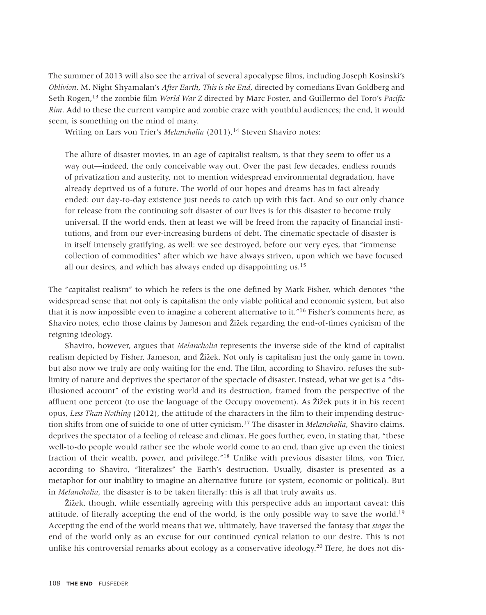The summer of 2013 will also see the arrival of several apocalypse films, including Joseph Kosinski's *Oblivion*, M. Night Shyamalan's *After Earth*, *This is the End*, directed by comedians Evan Goldberg and Seth Rogen,13 the zombie film *World War Z* directed by Marc Foster, and Guillermo del Toro's *Pacific Rim*. Add to these the current vampire and zombie craze with youthful audiences; the end, it would seem, is something on the mind of many.

Writing on Lars von Trier's *Melancholia* (2011),<sup>14</sup> Steven Shaviro notes:

The allure of disaster movies, in an age of capitalist realism, is that they seem to offer us a way out—indeed, the only conceivable way out. Over the past few decades, endless rounds of privatization and austerity, not to mention widespread environmental degradation, have already deprived us of a future. The world of our hopes and dreams has in fact already ended: our day-to-day existence just needs to catch up with this fact. And so our only chance for release from the continuing soft disaster of our lives is for this disaster to become truly universal. If the world ends, then at least we will be freed from the rapacity of financial institutions, and from our ever-increasing burdens of debt. The cinematic spectacle of disaster is in itself intensely gratifying, as well: we see destroyed, before our very eyes, that "immense collection of commodities" after which we have always striven, upon which we have focused all our desires, and which has always ended up disappointing us.<sup>15</sup>

The "capitalist realism" to which he refers is the one defined by Mark Fisher, which denotes "the widespread sense that not only is capitalism the only viable political and economic system, but also that it is now impossible even to imagine a coherent alternative to it."16 Fisher's comments here, as Shaviro notes, echo those claims by Jameson and Žižek regarding the end-of-times cynicism of the reigning ideology.

Shaviro, however, argues that *Melancholia* represents the inverse side of the kind of capitalist realism depicted by Fisher, Jameson, and Žižek. Not only is capitalism just the only game in town, but also now we truly are only waiting for the end. The film, according to Shaviro, refuses the sublimity of nature and deprives the spectator of the spectacle of disaster. Instead, what we get is a "disillusioned account" of the existing world and its destruction, framed from the perspective of the affluent one percent (to use the language of the Occupy movement). As Žižek puts it in his recent opus, *Less Than Nothing* (2012), the attitude of the characters in the film to their impending destruction shifts from one of suicide to one of utter cynicism.17 The disaster in *Melancholia*, Shaviro claims, deprives the spectator of a feeling of release and climax. He goes further, even, in stating that, "these well-to-do people would rather see the whole world come to an end, than give up even the tiniest fraction of their wealth, power, and privilege."18 Unlike with previous disaster films, von Trier, according to Shaviro, "literalizes" the Earth's destruction. Usually, disaster is presented as a metaphor for our inability to imagine an alternative future (or system, economic or political). But in *Melancholia*, the disaster is to be taken literally: this is all that truly awaits us.

Žižek, though, while essentially agreeing with this perspective adds an important caveat: this attitude, of literally accepting the end of the world, is the only possible way to save the world.<sup>19</sup> Accepting the end of the world means that we, ultimately, have traversed the fantasy that *stages* the end of the world only as an excuse for our continued cynical relation to our desire. This is not unlike his controversial remarks about ecology as a conservative ideology.<sup>20</sup> Here, he does not dis-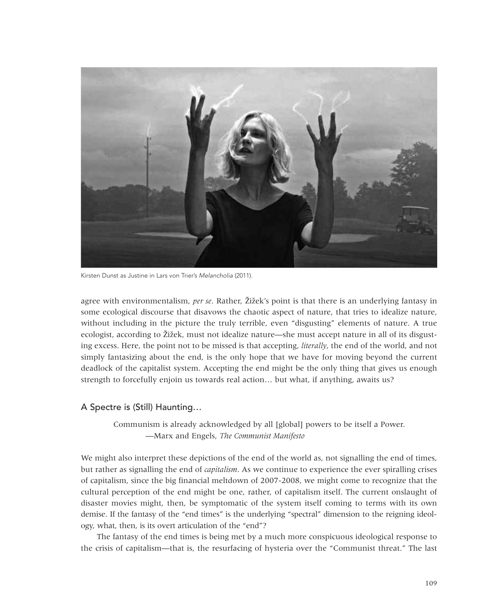

Kirsten Dunst as Justine in Lars von Trier's Melancholia (2011).

agree with environmentalism, *per se*. Rather, Žižek's point is that there is an underlying fantasy in some ecological discourse that disavows the chaotic aspect of nature, that tries to idealize nature, without including in the picture the truly terrible, even "disgusting" elements of nature. A true ecologist, according to Žižek, must not idealize nature—she must accept nature in all of its disgusting excess. Here, the point not to be missed is that accepting, *literally*, the end of the world, and not simply fantasizing about the end, is the only hope that we have for moving beyond the current deadlock of the capitalist system. Accepting the end might be the only thing that gives us enough strength to forcefully enjoin us towards real action… but what, if anything, awaits us?

#### A Spectre is (Still) Haunting…

Communism is already acknowledged by all [global] powers to be itself a Power. —Marx and Engels, *The Communist Manifesto*

We might also interpret these depictions of the end of the world as, not signalling the end of times, but rather as signalling the end of *capitalism*. As we continue to experience the ever spiralling crises of capitalism, since the big financial meltdown of 2007-2008, we might come to recognize that the cultural perception of the end might be one, rather, of capitalism itself. The current onslaught of disaster movies might, then, be symptomatic of the system itself coming to terms with its own demise. If the fantasy of the "end times" is the underlying "spectral" dimension to the reigning ideology, what, then, is its overt articulation of the "end"?

The fantasy of the end times is being met by a much more conspicuous ideological response to the crisis of capitalism—that is, the resurfacing of hysteria over the "Communist threat." The last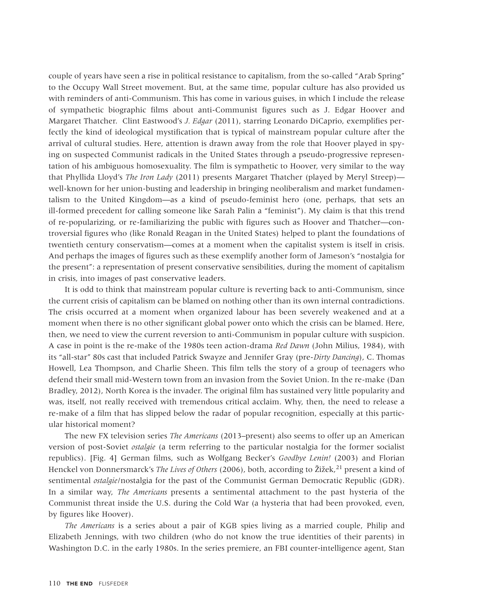couple of years have seen a rise in political resistance to capitalism, from the so-called "Arab Spring" to the Occupy Wall Street movement. But, at the same time, popular culture has also provided us with reminders of anti-Communism. This has come in various guises, in which I include the release of sympathetic biographic films about anti-Communist figures such as J. Edgar Hoover and Margaret Thatcher. Clint Eastwood's *J. Edgar* (2011), starring Leonardo DiCaprio, exemplifies perfectly the kind of ideological mystification that is typical of mainstream popular culture after the arrival of cultural studies. Here, attention is drawn away from the role that Hoover played in spying on suspected Communist radicals in the United States through a pseudo-progressive representation of his ambiguous homosexuality. The film is sympathetic to Hoover, very similar to the way that Phyllida Lloyd's *The Iron Lady* (2011) presents Margaret Thatcher (played by Meryl Streep) well-known for her union-busting and leadership in bringing neoliberalism and market fundamentalism to the United Kingdom—as a kind of pseudo-feminist hero (one, perhaps, that sets an ill-formed precedent for calling someone like Sarah Palin a "feminist"). My claim is that this trend of re-popularizing, or re-familiarizing the public with figures such as Hoover and Thatcher—controversial figures who (like Ronald Reagan in the United States) helped to plant the foundations of twentieth century conservatism—comes at a moment when the capitalist system is itself in crisis. And perhaps the images of figures such as these exemplify another form of Jameson's "nostalgia for the present": a representation of present conservative sensibilities, during the moment of capitalism in crisis, into images of past conservative leaders.

It is odd to think that mainstream popular culture is reverting back to anti-Communism, since the current crisis of capitalism can be blamed on nothing other than its own internal contradictions. The crisis occurred at a moment when organized labour has been severely weakened and at a moment when there is no other significant global power onto which the crisis can be blamed. Here, then, we need to view the current reversion to anti-Communism in popular culture with suspicion. A case in point is the re-make of the 1980s teen action-drama *Red Dawn* (John Milius, 1984), with its "all-star" 80s cast that included Patrick Swayze and Jennifer Gray (pre-*Dirty Dancing*), C. Thomas Howell, Lea Thompson, and Charlie Sheen. This film tells the story of a group of teenagers who defend their small mid-Western town from an invasion from the Soviet Union. In the re-make (Dan Bradley, 2012), North Korea is the invader. The original film has sustained very little popularity and was, itself, not really received with tremendous critical acclaim. Why, then, the need to release a re-make of a film that has slipped below the radar of popular recognition, especially at this particular historical moment?

The new FX television series *The Americans* (2013–present) also seems to offer up an American version of post-Soviet *ostalgie* (a term referring to the particular nostalgia for the former socialist republics). [Fig. 4] German films, such as Wolfgang Becker's *Goodbye Lenin!* (2003) and Florian Henckel von Donnersmarck's *The Lives of Others* (2006), both, according to Žižek,21 present a kind of sentimental *ostalgie*/nostalgia for the past of the Communist German Democratic Republic (GDR). In a similar way, *The Americans* presents a sentimental attachment to the past hysteria of the Communist threat inside the U.S. during the Cold War (a hysteria that had been provoked, even, by figures like Hoover).

*The Americans* is a series about a pair of KGB spies living as a married couple, Philip and Elizabeth Jennings, with two children (who do not know the true identities of their parents) in Washington D.C. in the early 1980s. In the series premiere, an FBI counter-intelligence agent, Stan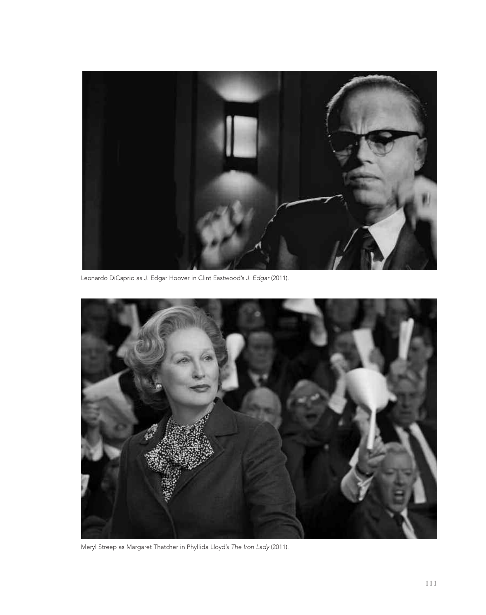

Leonardo DiCaprio as J. Edgar Hoover in Clint Eastwood's J. Edgar (2011).



Meryl Streep as Margaret Thatcher in Phyllida Lloyd's The Iron Lady (2011).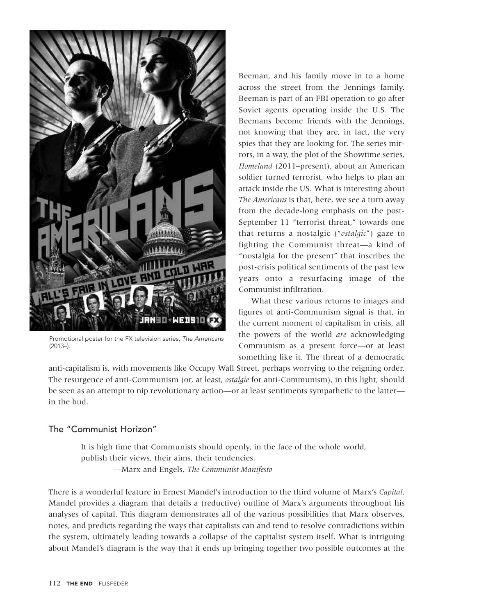

Promotional poster for the FX television series, The Americans (2013–).

Beeman, and his family move in to a home across the street from the Jennings family. Beeman is part of an FBI operation to go after Soviet agents operating inside the U.S. The Beemans become friends with the Jennings, not knowing that they are, in fact, the very spies that they are looking for. The series mirrors, in a way, the plot of the Showtime series, *Homeland* (2011–present), about an American soldier turned terrorist, who helps to plan an attack inside the US. What is interesting about *The Americans* is that, here, we see a turn away from the decade-long emphasis on the post-September 11 "terrorist threat," towards one that returns a nostalgic ("*ostalgic*") gaze to fighting the Communist threat—a kind of "nostalgia for the present" that inscribes the post-crisis political sentiments of the past few years onto a resurfacing image of the Communist infiltration.

What these various returns to images and figures of anti-Communism signal is that, in the current moment of capitalism in crisis, all the powers of the world *are* acknowledging Communism as a present force—or at least something like it. The threat of a democratic

anti-capitalism is, with movements like Occupy Wall Street, perhaps worrying to the reigning order. The resurgence of anti-Communism (or, at least, *ostalgie* for anti-Communism), in this light, should be seen as an attempt to nip revolutionary action—or at least sentiments sympathetic to the latter in the bud.

#### The "Communist Horizon"

It is high time that Communists should openly, in the face of the whole world, publish their views, their aims, their tendencies. —Marx and Engels, *The Communist Manifesto*

There is a wonderful feature in Ernest Mandel's introduction to the third volume of Marx's *Capital*. Mandel provides a diagram that details a (reductive) outline of Marx's arguments throughout his analyses of capital. This diagram demonstrates all of the various possibilities that Marx observes, notes, and predicts regarding the ways that capitalists can and tend to resolve contradictions within the system, ultimately leading towards a collapse of the capitalist system itself. What is intriguing about Mandel's diagram is the way that it ends up bringing together two possible outcomes at the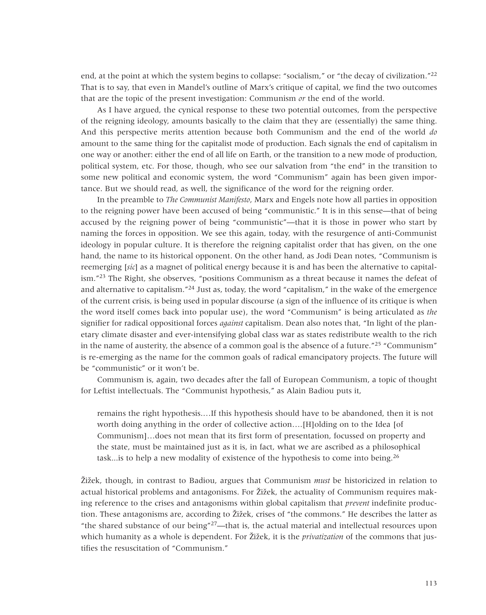end, at the point at which the system begins to collapse: "socialism," or "the decay of civilization."<sup>22</sup> That is to say, that even in Mandel's outline of Marx's critique of capital, we find the two outcomes that are the topic of the present investigation: Communism *or* the end of the world.

As I have argued, the cynical response to these two potential outcomes, from the perspective of the reigning ideology, amounts basically to the claim that they are (essentially) the same thing. And this perspective merits attention because both Communism and the end of the world *do* amount to the same thing for the capitalist mode of production. Each signals the end of capitalism in one way or another: either the end of all life on Earth, or the transition to a new mode of production, political system, etc. For those, though, who see our salvation from "the end" in the transition to some new political and economic system, the word "Communism" again has been given importance. But we should read, as well, the significance of the word for the reigning order.

In the preamble to *The Communist Manifesto*, Marx and Engels note how all parties in opposition to the reigning power have been accused of being "communistic." It is in this sense—that of being accused by the reigning power of being "communistic"—that it is those in power who start by naming the forces in opposition. We see this again, today, with the resurgence of anti-Communist ideology in popular culture. It is therefore the reigning capitalist order that has given, on the one hand, the name to its historical opponent. On the other hand, as Jodi Dean notes, "Communism is reemerging [*sic*] as a magnet of political energy because it is and has been the alternative to capitalism."<sup>23</sup> The Right, she observes, "positions Communism as a threat because it names the defeat of and alternative to capitalism."<sup>24</sup> Just as, today, the word "capitalism," in the wake of the emergence of the current crisis, is being used in popular discourse (a sign of the influence of its critique is when the word itself comes back into popular use), the word "Communism" is being articulated as *the* signifier for radical oppositional forces *against* capitalism. Dean also notes that, "In light of the planetary climate disaster and ever-intensifying global class war as states redistribute wealth to the rich in the name of austerity, the absence of a common goal is the absence of a future." $25$  "Communism" is re-emerging as the name for the common goals of radical emancipatory projects. The future will be "communistic" or it won't be.

Communism is, again, two decades after the fall of European Communism, a topic of thought for Leftist intellectuals. The "Communist hypothesis," as Alain Badiou puts it,

remains the right hypothesis.…If this hypothesis should have to be abandoned, then it is not worth doing anything in the order of collective action….[H]olding on to the Idea [of Communism]…does not mean that its first form of presentation, focussed on property and the state, must be maintained just as it is, in fact, what we are ascribed as a philosophical task... is to help a new modality of existence of the hypothesis to come into being.  $^{26}$ 

Žižek, though, in contrast to Badiou, argues that Communism *must* be historicized in relation to actual historical problems and antagonisms. For Žižek, the actuality of Communism requires making reference to the crises and antagonisms within global capitalism that *prevent* indefinite production. These antagonisms are, according to Žižek, crises of "the commons." He describes the latter as "the shared substance of our being" $27$ —that is, the actual material and intellectual resources upon which humanity as a whole is dependent. For Žižek, it is the *privatization* of the commons that justifies the resuscitation of "Communism."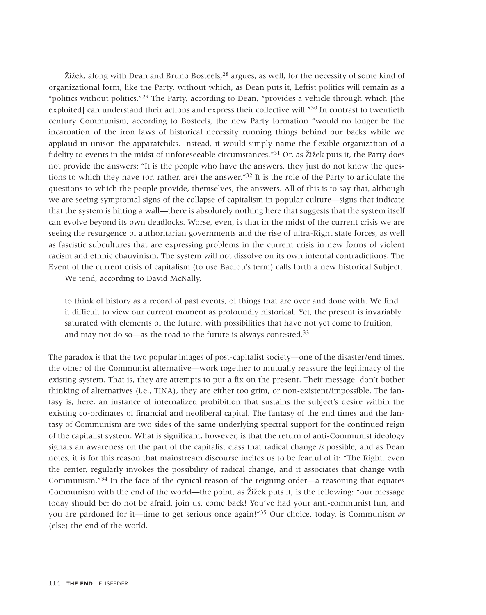Žižek, along with Dean and Bruno Bosteels,28 argues, as well, for the necessity of some kind of organizational form, like the Party, without which, as Dean puts it, Leftist politics will remain as a "politics without politics."29 The Party, according to Dean, "provides a vehicle through which [the exploited] can understand their actions and express their collective will."<sup>30</sup> In contrast to twentieth century Communism, according to Bosteels, the new Party formation "would no longer be the incarnation of the iron laws of historical necessity running things behind our backs while we applaud in unison the apparatchiks. Instead, it would simply name the flexible organization of a fidelity to events in the midst of unforeseeable circumstances."31 Or, as Žižek puts it, the Party does not provide the answers: "It is the people who have the answers, they just do not know the questions to which they have (or, rather, are) the answer." $32$  It is the role of the Party to articulate the questions to which the people provide, themselves, the answers. All of this is to say that, although we are seeing symptomal signs of the collapse of capitalism in popular culture—signs that indicate that the system is hitting a wall—there is absolutely nothing here that suggests that the system itself can evolve beyond its own deadlocks. Worse, even, is that in the midst of the current crisis we are seeing the resurgence of authoritarian governments and the rise of ultra-Right state forces, as well as fascistic subcultures that are expressing problems in the current crisis in new forms of violent racism and ethnic chauvinism. The system will not dissolve on its own internal contradictions. The Event of the current crisis of capitalism (to use Badiou's term) calls forth a new historical Subject.

We tend, according to David McNally,

to think of history as a record of past events, of things that are over and done with. We find it difficult to view our current moment as profoundly historical. Yet, the present is invariably saturated with elements of the future, with possibilities that have not yet come to fruition, and may not do so—as the road to the future is always contested.<sup>33</sup>

The paradox is that the two popular images of post-capitalist society—one of the disaster/end times, the other of the Communist alternative—work together to mutually reassure the legitimacy of the existing system. That is, they are attempts to put a fix on the present. Their message: don't bother thinking of alternatives (i.e., TINA), they are either too grim, or non-existent/impossible. The fantasy is, here, an instance of internalized prohibition that sustains the subject's desire within the existing co-ordinates of financial and neoliberal capital. The fantasy of the end times and the fantasy of Communism are two sides of the same underlying spectral support for the continued reign of the capitalist system. What is significant, however, is that the return of anti-Communist ideology signals an awareness on the part of the capitalist class that radical change *is* possible, and as Dean notes, it is for this reason that mainstream discourse incites us to be fearful of it: "The Right, even the center, regularly invokes the possibility of radical change, and it associates that change with Communism."34 In the face of the cynical reason of the reigning order—a reasoning that equates Communism with the end of the world—the point, as Žižek puts it, is the following: "our message today should be: do not be afraid, join us, come back! You've had your anti-communist fun, and you are pardoned for it—time to get serious once again!"35 Our choice, today, is Communism *or* (else) the end of the world.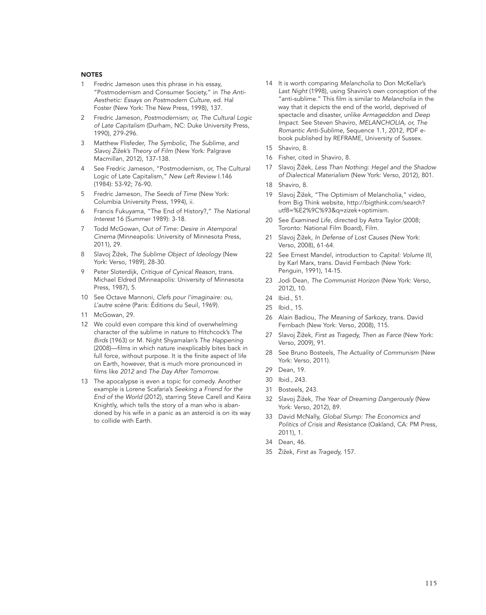#### **NOTES**

- Fredric Jameson uses this phrase in his essay, "Postmodernism and Consumer Society," in The Anti-Aesthetic: Essays on Postmodern Culture, ed. Hal Foster (New York: The New Press, 1998), 137.
- 2 Fredric Jameson, Postmodernism; or, The Cultural Logic of Late Capitalism (Durham, NC: Duke University Press, 1990), 279-296.
- Matthew Flisfeder, The Symbolic, The Sublime, and Slavoj Žižek's Theory of Film (New York: Palgrave Macmillan, 2012), 137-138.
- See Fredric Jameson, "Postmodernism, or, The Cultural Logic of Late Capitalism," New Left Review I.146 (1984): 53-92; 76-90.
- 5 Fredric Jameson, The Seeds of Time (New York: Columbia University Press, 1994), ii.
- 6 Francis Fukuyama, "The End of History?," The National Interest 16 (Summer 1989): 3-18.
- 7 Todd McGowan, Out of Time: Desire in Atemporal Cinema (Minneapolis: University of Minnesota Press, 2011), 29.
- 8 Slavoj Žižek, The Sublime Object of Ideology (New York: Verso, 1989), 28-30.
- 9 Peter Sloterdijk, Critique of Cynical Reason, trans. Michael Eldred (Minneapolis: University of Minnesota Press, 1987), 5.
- 10 See Octave Mannoni, Clefs pour l'imaginaire: ou, L'autre scène (Paris: Éditions du Seuil, 1969).
- 11 McGowan, 29.
- 12 We could even compare this kind of overwhelming character of the sublime in nature to Hitchcock's The Birds (1963) or M. Night Shyamalan's The Happening (2008)—films in which nature inexplicably bites back in full force, without purpose. It is the finite aspect of life on Earth, however, that is much more pronounced in films like 2012 and The Day After Tomorrow.
- 13 The apocalypse is even a topic for comedy. Another example is Lorene Scafaria's Seeking a Friend for the End of the World (2012), starring Steve Carell and Keira Knightly, which tells the story of a man who is abandoned by his wife in a panic as an asteroid is on its way to collide with Earth.
- 14 It is worth comparing Melancholia to Don McKellar's Last Night (1998), using Shaviro's own conception of the "anti-sublime." This film is similar to Melancholia in the way that it depicts the end of the world, deprived of spectacle and disaster, unlike Armageddon and Deep Impact. See Steven Shaviro, MELANCHOLIA, or, The Romantic Anti-Sublime, Sequence 1.1, 2012, PDF ebook published by REFRAME, University of Sussex.
- 15 Shaviro, 8.
- 16 Fisher, cited in Shaviro, 8.
- 17 Slavoj Žižek, Less Than Nothing: Hegel and the Shadow of Dialectical Materialism (New York: Verso, 2012), 801.
- 18 Shaviro, 8.
- 19 Slavoj Žižek, "The Optimism of Melancholia," video, from Big Think website, http://bigthink.com/search? utf8=%E2%9C%93&q=zizek+optimism.
- 20 See Examined Life, directed by Astra Taylor (2008; Toronto: National Film Board), Film.
- 21 Slavoj Žižek, In Defense of Lost Causes (New York: Verso, 2008), 61-64.
- 22 See Ernest Mandel, introduction to Capital: Volume III, by Karl Marx, trans. David Fernbach (New York: Penguin, 1991), 14-15.
- 23 Jodi Dean, The Communist Horizon (New York: Verso, 2012), 10.
- 24 Ibid., 51.
- 25 Ibid., 15.
- 26 Alain Badiou, The Meaning of Sarkozy, trans. David Fernbach (New York: Verso, 2008), 115.
- 27 Slavoj Žižek, First as Tragedy, Then as Farce (New York: Verso, 2009), 91.
- 28 See Bruno Bosteels, The Actuality of Communism (New York: Verso, 2011).
- 29 Dean, 19.
- 30 Ibid., 243.
- 31 Bosteels, 243.
- 32 Slavoj Žižek, The Year of Dreaming Dangerously (New York: Verso, 2012), 89.
- 33 David McNally, Global Slump: The Economics and Politics of Crisis and Resistance (Oakland, CA: PM Press, 2011), 1.
- 34 Dean, 46.
- 35 Žižek, First as Tragedy, 157.